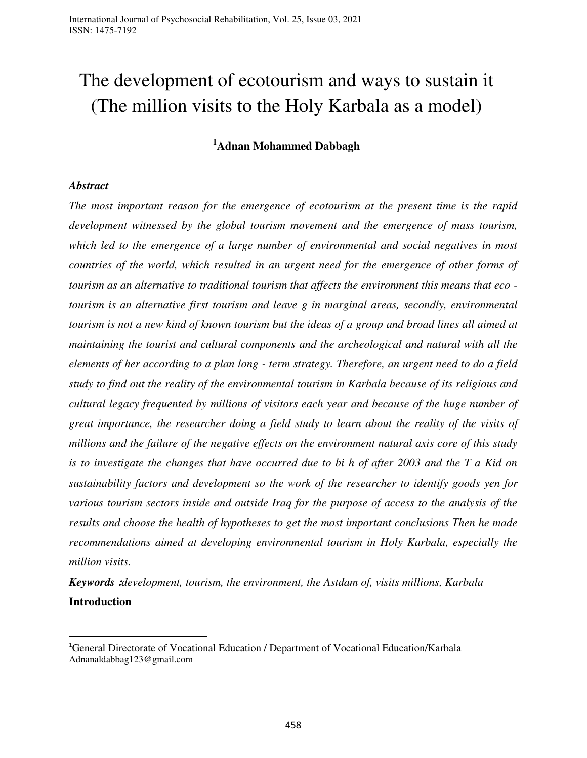# The development of ecotourism and ways to sustain it (The million visits to the Holy Karbala as a model)

# **<sup>1</sup>Adnan Mohammed Dabbagh**

#### *Abstract*

l

*The most important reason for the emergence of ecotourism at the present time is the rapid development witnessed by the global tourism movement and the emergence of mass tourism, which led to the emergence of a large number of environmental and social negatives in most countries of the world, which resulted in an urgent need for the emergence of other forms of tourism as an alternative to traditional tourism that affects the environment this means that eco tourism is an alternative first tourism and leave g in marginal areas, secondly, environmental tourism is not a new kind of known tourism but the ideas of a group and broad lines all aimed at maintaining the tourist and cultural components and the archeological and natural with all the elements of her according to a plan long - term strategy. Therefore, an urgent need to do a field study to find out the reality of the environmental tourism in Karbala because of its religious and cultural legacy frequented by millions of visitors each year and because of the huge number of great importance, the researcher doing a field study to learn about the reality of the visits of millions and the failure of the negative effects on the environment natural axis core of this study is to investigate the changes that have occurred due to bi h of after 2003 and the T a Kid on sustainability factors and development so the work of the researcher to identify goods yen for various tourism sectors inside and outside Iraq for the purpose of access to the analysis of the results and choose the health of hypotheses to get the most important conclusions Then he made recommendations aimed at developing environmental tourism in Holy Karbala, especially the million visits.*

*Keywords* **:***development, tourism, the environment, the Astdam of, visits millions, Karbala* **Introduction** 

<sup>1</sup>General Directorate of Vocational Education / Department of Vocational Education/Karbala [Adnanaldabbag123@gmail.com](mailto:Adnanaldabbag123@gmail.com)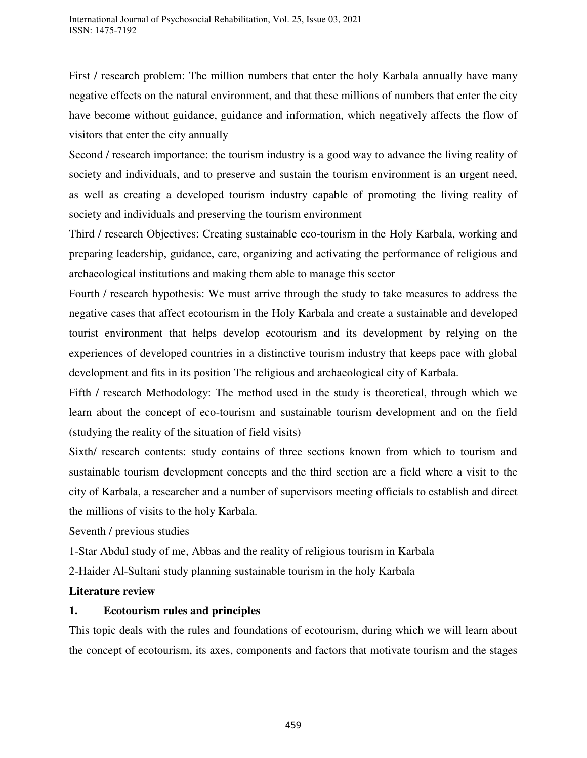First / research problem: The million numbers that enter the holy Karbala annually have many negative effects on the natural environment, and that these millions of numbers that enter the city have become without guidance, guidance and information, which negatively affects the flow of visitors that enter the city annually

Second / research importance: the tourism industry is a good way to advance the living reality of society and individuals, and to preserve and sustain the tourism environment is an urgent need, as well as creating a developed tourism industry capable of promoting the living reality of society and individuals and preserving the tourism environment

Third / research Objectives: Creating sustainable eco-tourism in the Holy Karbala, working and preparing leadership, guidance, care, organizing and activating the performance of religious and archaeological institutions and making them able to manage this sector

Fourth / research hypothesis: We must arrive through the study to take measures to address the negative cases that affect ecotourism in the Holy Karbala and create a sustainable and developed tourist environment that helps develop ecotourism and its development by relying on the experiences of developed countries in a distinctive tourism industry that keeps pace with global development and fits in its position The religious and archaeological city of Karbala.

Fifth / research Methodology: The method used in the study is theoretical, through which we learn about the concept of eco-tourism and sustainable tourism development and on the field (studying the reality of the situation of field visits)

Sixth/ research contents: study contains of three sections known from which to tourism and sustainable tourism development concepts and the third section are a field where a visit to the city of Karbala, a researcher and a number of supervisors meeting officials to establish and direct the millions of visits to the holy Karbala.

Seventh / previous studies

1-Star Abdul study of me, Abbas and the reality of religious tourism in Karbala

2-Haider Al-Sultani study planning sustainable tourism in the holy Karbala

# **Literature review**

# **1. Ecotourism rules and principles**

This topic deals with the rules and foundations of ecotourism, during which we will learn about the concept of ecotourism, its axes, components and factors that motivate tourism and the stages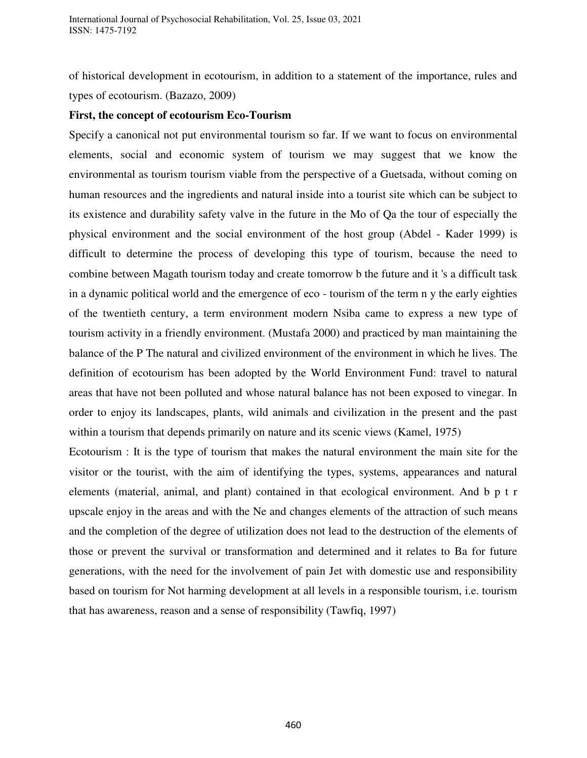of historical development in ecotourism, in addition to a statement of the importance, rules and types of ecotourism. (Bazazo, 2009)

#### **First, the concept of ecotourism Eco-Tourism**

Specify a canonical not put environmental tourism so far. If we want to focus on environmental elements, social and economic system of tourism we may suggest that we know the environmental as tourism tourism viable from the perspective of a Guetsada, without coming on human resources and the ingredients and natural inside into a tourist site which can be subject to its existence and durability safety valve in the future in the Mo of Qa the tour of especially the physical environment and the social environment of the host group (Abdel - Kader 1999) is difficult to determine the process of developing this type of tourism, because the need to combine between Magath tourism today and create tomorrow b the future and it 's a difficult task in a dynamic political world and the emergence of eco - tourism of the term n y the early eighties of the twentieth century, a term environment modern Nsiba came to express a new type of tourism activity in a friendly environment. (Mustafa 2000) and practiced by man maintaining the balance of the P The natural and civilized environment of the environment in which he lives. The definition of ecotourism has been adopted by the World Environment Fund: travel to natural areas that have not been polluted and whose natural balance has not been exposed to vinegar. In order to enjoy its landscapes, plants, wild animals and civilization in the present and the past within a tourism that depends primarily on nature and its scenic views (Kamel, 1975)

Ecotourism : It is the type of tourism that makes the natural environment the main site for the visitor or the tourist, with the aim of identifying the types, systems, appearances and natural elements (material, animal, and plant) contained in that ecological environment. And b p t r upscale enjoy in the areas and with the Ne and changes elements of the attraction of such means and the completion of the degree of utilization does not lead to the destruction of the elements of those or prevent the survival or transformation and determined and it relates to Ba for future generations, with the need for the involvement of pain Jet with domestic use and responsibility based on tourism for Not harming development at all levels in a responsible tourism, i.e. tourism that has awareness, reason and a sense of responsibility (Tawfiq, 1997)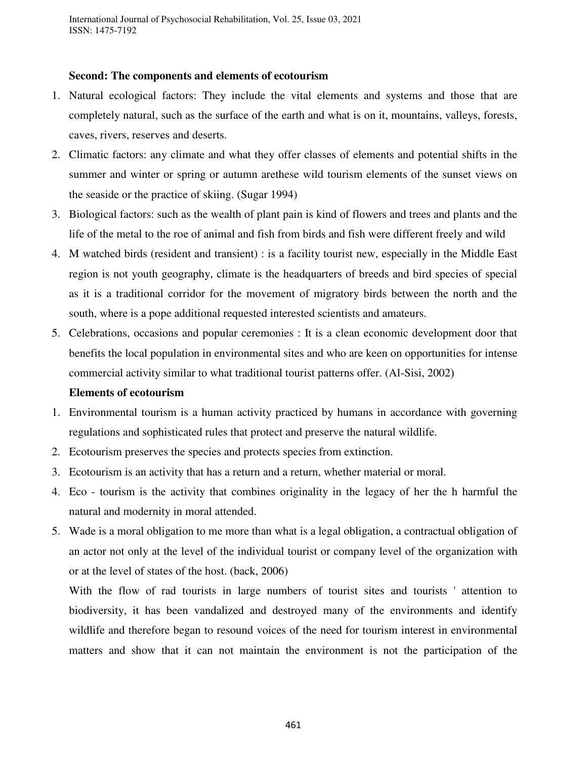## **Second: The components and elements of ecotourism**

- 1. Natural ecological factors: They include the vital elements and systems and those that are completely natural, such as the surface of the earth and what is on it, mountains, valleys, forests, caves, rivers, reserves and deserts.
- 2. Climatic factors: any climate and what they offer classes of elements and potential shifts in the summer and winter or spring or autumn arethese wild tourism elements of the sunset views on the seaside or the practice of skiing. (Sugar 1994)
- 3. Biological factors: such as the wealth of plant pain is kind of flowers and trees and plants and the life of the metal to the roe of animal and fish from birds and fish were different freely and wild
- 4. M watched birds (resident and transient) : is a facility tourist new, especially in the Middle East region is not youth geography, climate is the headquarters of breeds and bird species of special as it is a traditional corridor for the movement of migratory birds between the north and the south, where is a pope additional requested interested scientists and amateurs.
- 5. Celebrations, occasions and popular ceremonies : It is a clean economic development door that benefits the local population in environmental sites and who are keen on opportunities for intense commercial activity similar to what traditional tourist patterns offer. (Al-Sisi, 2002)

# **Elements of ecotourism**

- 1. Environmental tourism is a human activity practiced by humans in accordance with governing regulations and sophisticated rules that protect and preserve the natural wildlife.
- 2. Ecotourism preserves the species and protects species from extinction.
- 3. Ecotourism is an activity that has a return and a return, whether material or moral.
- 4. Eco tourism is the activity that combines originality in the legacy of her the h harmful the natural and modernity in moral attended.
- 5. Wade is a moral obligation to me more than what is a legal obligation, a contractual obligation of an actor not only at the level of the individual tourist or company level of the organization with or at the level of states of the host. (back, 2006)

With the flow of rad tourists in large numbers of tourist sites and tourists ' attention to biodiversity, it has been vandalized and destroyed many of the environments and identify wildlife and therefore began to resound voices of the need for tourism interest in environmental matters and show that it can not maintain the environment is not the participation of the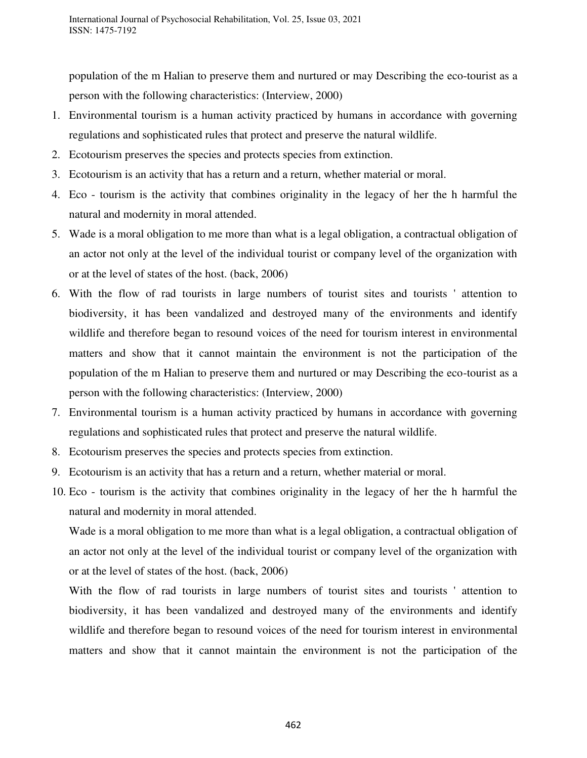population of the m Halian to preserve them and nurtured or may Describing the eco-tourist as a person with the following characteristics: (Interview, 2000)

- 1. Environmental tourism is a human activity practiced by humans in accordance with governing regulations and sophisticated rules that protect and preserve the natural wildlife.
- 2. Ecotourism preserves the species and protects species from extinction.
- 3. Ecotourism is an activity that has a return and a return, whether material or moral.
- 4. Eco tourism is the activity that combines originality in the legacy of her the h harmful the natural and modernity in moral attended.
- 5. Wade is a moral obligation to me more than what is a legal obligation, a contractual obligation of an actor not only at the level of the individual tourist or company level of the organization with or at the level of states of the host. (back, 2006)
- 6. With the flow of rad tourists in large numbers of tourist sites and tourists ' attention to biodiversity, it has been vandalized and destroyed many of the environments and identify wildlife and therefore began to resound voices of the need for tourism interest in environmental matters and show that it cannot maintain the environment is not the participation of the population of the m Halian to preserve them and nurtured or may Describing the eco-tourist as a person with the following characteristics: (Interview, 2000)
- 7. Environmental tourism is a human activity practiced by humans in accordance with governing regulations and sophisticated rules that protect and preserve the natural wildlife.
- 8. Ecotourism preserves the species and protects species from extinction.
- 9. Ecotourism is an activity that has a return and a return, whether material or moral.
- 10. Eco tourism is the activity that combines originality in the legacy of her the h harmful the natural and modernity in moral attended.

Wade is a moral obligation to me more than what is a legal obligation, a contractual obligation of an actor not only at the level of the individual tourist or company level of the organization with or at the level of states of the host. (back, 2006)

With the flow of rad tourists in large numbers of tourist sites and tourists ' attention to biodiversity, it has been vandalized and destroyed many of the environments and identify wildlife and therefore began to resound voices of the need for tourism interest in environmental matters and show that it cannot maintain the environment is not the participation of the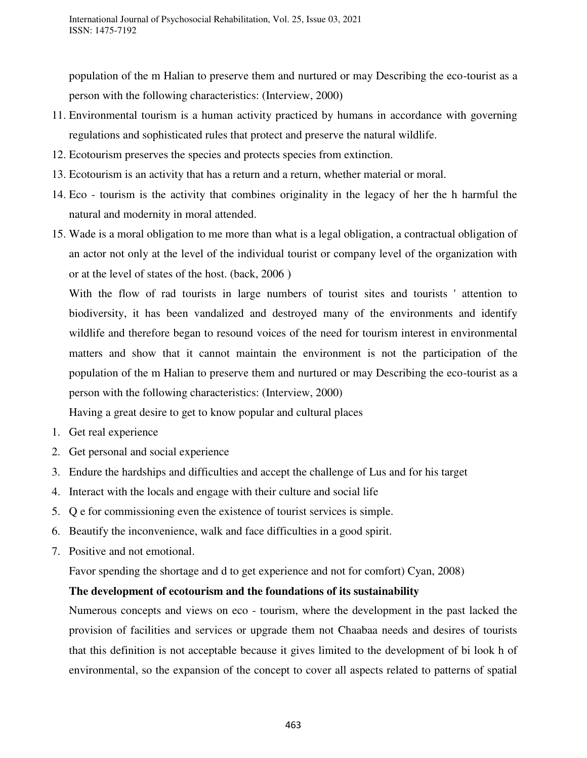population of the m Halian to preserve them and nurtured or may Describing the eco-tourist as a person with the following characteristics: (Interview, 2000)

- 11. Environmental tourism is a human activity practiced by humans in accordance with governing regulations and sophisticated rules that protect and preserve the natural wildlife.
- 12. Ecotourism preserves the species and protects species from extinction.
- 13. Ecotourism is an activity that has a return and a return, whether material or moral.
- 14. Eco tourism is the activity that combines originality in the legacy of her the h harmful the natural and modernity in moral attended.
- 15. Wade is a moral obligation to me more than what is a legal obligation, a contractual obligation of an actor not only at the level of the individual tourist or company level of the organization with or at the level of states of the host. (back, 2006)

With the flow of rad tourists in large numbers of tourist sites and tourists ' attention to biodiversity, it has been vandalized and destroyed many of the environments and identify wildlife and therefore began to resound voices of the need for tourism interest in environmental matters and show that it cannot maintain the environment is not the participation of the population of the m Halian to preserve them and nurtured or may Describing the eco-tourist as a person with the following characteristics: (Interview, 2000)

Having a great desire to get to know popular and cultural places

- 1. Get real experience
- 2. Get personal and social experience
- 3. Endure the hardships and difficulties and accept the challenge of Lus and for his target
- 4. Interact with the locals and engage with their culture and social life
- 5. Q e for commissioning even the existence of tourist services is simple.
- 6. Beautify the inconvenience, walk and face difficulties in a good spirit.
- 7. Positive and not emotional.

Favor spending the shortage and d to get experience and not for comfort) Cyan, 2008)

## **The development of ecotourism and the foundations of its sustainability**

Numerous concepts and views on eco - tourism, where the development in the past lacked the provision of facilities and services or upgrade them not Chaabaa needs and desires of tourists that this definition is not acceptable because it gives limited to the development of bi look h of environmental, so the expansion of the concept to cover all aspects related to patterns of spatial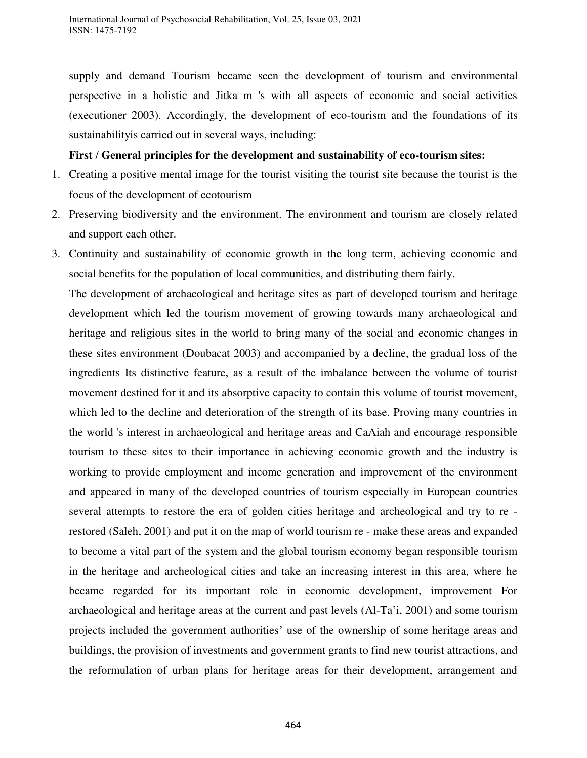supply and demand Tourism became seen the development of tourism and environmental perspective in a holistic and Jitka m 's with all aspects of economic and social activities (executioner 2003). Accordingly, the development of eco-tourism and the foundations of its sustainabilityis carried out in several ways, including:

## **First / General principles for the development and sustainability of eco-tourism sites :**

- 1. Creating a positive mental image for the tourist visiting the tourist site because the tourist is the focus of the development of ecotourism
- 2. Preserving biodiversity and the environment. The environment and tourism are closely related and support each other.
- 3. Continuity and sustainability of economic growth in the long term, achieving economic and social benefits for the population of local communities, and distributing them fairly.

The development of archaeological and heritage sites as part of developed tourism and heritage development which led the tourism movement of growing towards many archaeological and heritage and religious sites in the world to bring many of the social and economic changes in these sites environment (Doubacat 2003) and accompanied by a decline, the gradual loss of the ingredients Its distinctive feature, as a result of the imbalance between the volume of tourist movement destined for it and its absorptive capacity to contain this volume of tourist movement, which led to the decline and deterioration of the strength of its base. Proving many countries in the world 's interest in archaeological and heritage areas and CaAiah and encourage responsible tourism to these sites to their importance in achieving economic growth and the industry is working to provide employment and income generation and improvement of the environment and appeared in many of the developed countries of tourism especially in European countries several attempts to restore the era of golden cities heritage and archeological and try to re restored (Saleh, 2001) and put it on the map of world tourism re - make these areas and expanded to become a vital part of the system and the global tourism economy began responsible tourism in the heritage and archeological cities and take an increasing interest in this area, where he became regarded for its important role in economic development, improvement For archaeological and heritage areas at the current and past levels (Al-Ta'i, 2001) and some tourism projects included the government authorities' use of the ownership of some heritage areas and buildings, the provision of investments and government grants to find new tourist attractions, and the reformulation of urban plans for heritage areas for their development, arrangement and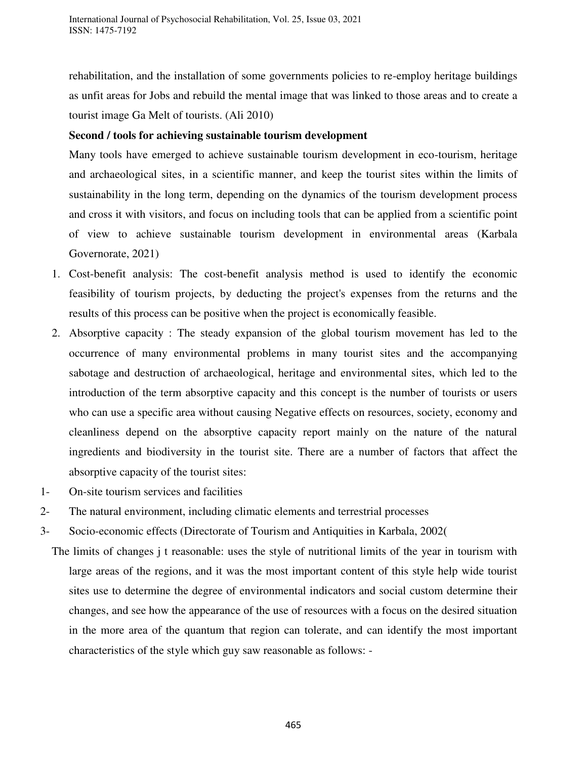rehabilitation, and the installation of some governments policies to re-employ heritage buildings as unfit areas for Jobs and rebuild the mental image that was linked to those areas and to create a tourist image Ga Melt of tourists. (Ali 2010)

## **Second / tools for achieving sustainable tourism development**

Many tools have emerged to achieve sustainable tourism development in eco-tourism, heritage and archaeological sites, in a scientific manner, and keep the tourist sites within the limits of sustainability in the long term, depending on the dynamics of the tourism development process and cross it with visitors, and focus on including tools that can be applied from a scientific point of view to achieve sustainable tourism development in environmental areas (Karbala Governorate, 2021)

- 1. Cost-benefit analysis: The cost-benefit analysis method is used to identify the economic feasibility of tourism projects, by deducting the project's expenses from the returns and the results of this process can be positive when the project is economically feasible.
- 2. Absorptive capacity : The steady expansion of the global tourism movement has led to the occurrence of many environmental problems in many tourist sites and the accompanying sabotage and destruction of archaeological, heritage and environmental sites, which led to the introduction of the term absorptive capacity and this concept is the number of tourists or users who can use a specific area without causing Negative effects on resources, society, economy and cleanliness depend on the absorptive capacity report mainly on the nature of the natural ingredients and biodiversity in the tourist site. There are a number of factors that affect the absorptive capacity of the tourist sites:
- 1- On-site tourism services and facilities
- 2- The natural environment, including climatic elements and terrestrial processes
- 3- Socio-economic effects (Directorate of Tourism and Antiquities in Karbala, 2002)
	- The limits of changes j t reasonable: uses the style of nutritional limits of the year in tourism with large areas of the regions, and it was the most important content of this style help wide tourist sites use to determine the degree of environmental indicators and social custom determine their changes, and see how the appearance of the use of resources with a focus on the desired situation in the more area of the quantum that region can tolerate, and can identify the most important characteristics of the style which guy saw reasonable as follows: -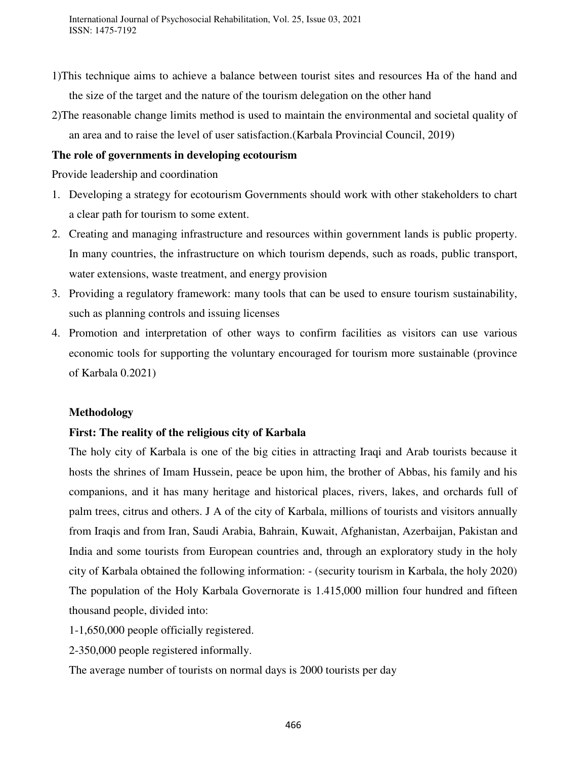International Journal of Psychosocial Rehabilitation, Vol. 25, Issue 03, 2021 ISSN: 1475-7192

- 1)This technique aims to achieve a balance between tourist sites and resources Ha of the hand and the size of the target and the nature of the tourism delegation on the other hand
- 2)The reasonable change limits method is used to maintain the environmental and societal quality of an area and to raise the level of user satisfaction.(Karbala Provincial Council, 2019)

#### **The role of governments in developing ecotourism**

Provide leadership and coordination

- 1. Developing a strategy for ecotourism Governments should work with other stakeholders to chart a clear path for tourism to some extent.
- 2. Creating and managing infrastructure and resources within government lands is public property. In many countries, the infrastructure on which tourism depends, such as roads, public transport, water extensions, waste treatment, and energy provision
- 3. Providing a regulatory framework: many tools that can be used to ensure tourism sustainability, such as planning controls and issuing licenses
- 4. Promotion and interpretation of other ways to confirm facilities as visitors can use various economic tools for supporting the voluntary encouraged for tourism more sustainable (province of Karbala 0.2021)

#### **Methodology**

## **First: The reality of the religious city of Karbala**

The holy city of Karbala is one of the big cities in attracting Iraqi and Arab tourists because it hosts the shrines of Imam Hussein, peace be upon him, the brother of Abbas, his family and his companions, and it has many heritage and historical places, rivers, lakes, and orchards full of palm trees, citrus and others. J A of the city of Karbala, millions of tourists and visitors annually from Iraqis and from Iran, Saudi Arabia, Bahrain, Kuwait, Afghanistan, Azerbaijan, Pakistan and India and some tourists from European countries and, through an exploratory study in the holy city of Karbala obtained the following information: - (security tourism in Karbala, the holy 2020) The population of the Holy Karbala Governorate is 1.415,000 million four hundred and fifteen thousand people, divided into:

- 1-1,650,000 people officially registered.
- 2-350,000 people registered informally.

The average number of tourists on normal days is 2000 tourists per day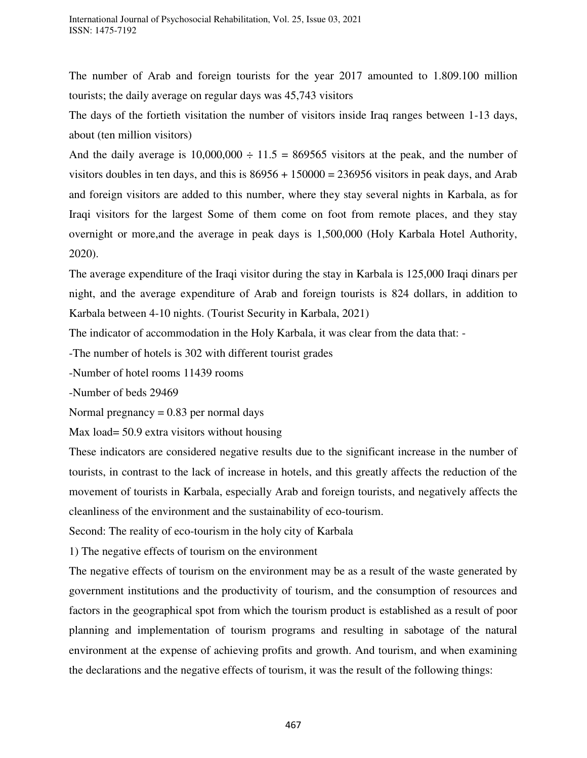The number of Arab and foreign tourists for the year 2017 amounted to 1.809.100 million tourists; the daily average on regular days was 45,743 visitors

The days of the fortieth visitation the number of visitors inside Iraq ranges between 1-13 days, about (ten million visitors)

And the daily average is  $10,000,000 \div 11.5 = 869565$  visitors at the peak, and the number of visitors doubles in ten days, and this is  $86956 + 150000 = 236956$  visitors in peak days, and Arab and foreign visitors are added to this number, where they stay several nights in Karbala, as for Iraqi visitors for the largest Some of them come on foot from remote places, and they stay overnight or more,and the average in peak days is 1,500,000 (Holy Karbala Hotel Authority, 2020).

The average expenditure of the Iraqi visitor during the stay in Karbala is 125,000 Iraqi dinars per night, and the average expenditure of Arab and foreign tourists is 824 dollars, in addition to Karbala between 4-10 nights. (Tourist Security in Karbala, 2021)

The indicator of accommodation in the Holy Karbala, it was clear from the data that: -

-The number of hotels is 302 with different tourist grades

-Number of hotel rooms 11439 rooms

-Number of beds 29469

Normal pregnancy  $= 0.83$  per normal days

Max load= 50.9 extra visitors without housing

These indicators are considered negative results due to the significant increase in the number of tourists, in contrast to the lack of increase in hotels, and this greatly affects the reduction of the movement of tourists in Karbala, especially Arab and foreign tourists, and negatively affects the cleanliness of the environment and the sustainability of eco-tourism.

Second: The reality of eco-tourism in the holy city of Karbala

1) The negative effects of tourism on the environment

The negative effects of tourism on the environment may be as a result of the waste generated by government institutions and the productivity of tourism, and the consumption of resources and factors in the geographical spot from which the tourism product is established as a result of poor planning and implementation of tourism programs and resulting in sabotage of the natural environment at the expense of achieving profits and growth. And tourism, and when examining the declarations and the negative effects of tourism, it was the result of the following things: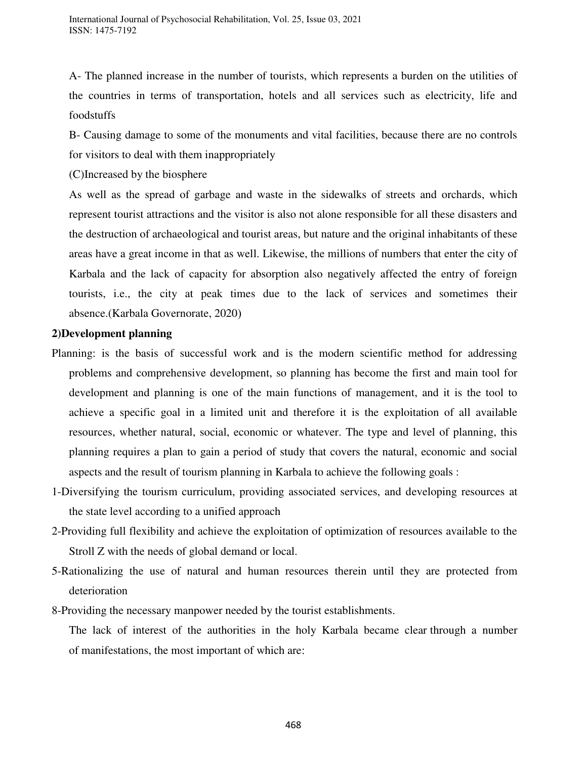A- The planned increase in the number of tourists, which represents a burden on the utilities of the countries in terms of transportation, hotels and all services such as electricity, life and foodstuffs

B- Causing damage to some of the monuments and vital facilities, because there are no controls for visitors to deal with them inappropriately

(C)Increased by the biosphere

As well as the spread of garbage and waste in the sidewalks of streets and orchards, which represent tourist attractions and the visitor is also not alone responsible for all these disasters and the destruction of archaeological and tourist areas, but nature and the original inhabitants of these areas have a great income in that as well. Likewise, the millions of numbers that enter the city of Karbala and the lack of capacity for absorption also negatively affected the entry of foreign tourists, i.e., the city at peak times due to the lack of services and sometimes their absence.(Karbala Governorate, 2020)

## **2)Development planning**

- Planning: is the basis of successful work and is the modern scientific method for addressing problems and comprehensive development, so planning has become the first and main tool for development and planning is one of the main functions of management, and it is the tool to achieve a specific goal in a limited unit and therefore it is the exploitation of all available resources, whether natural, social, economic or whatever. The type and level of planning, this planning requires a plan to gain a period of study that covers the natural, economic and social aspects and the result of tourism planning in Karbala to achieve the following goals :
- 1-Diversifying the tourism curriculum, providing associated services, and developing resources at the state level according to a unified approach
- 2-Providing full flexibility and achieve the exploitation of optimization of resources available to the Stroll Z with the needs of global demand or local.
- 5-Rationalizing the use of natural and human resources therein until they are protected from deterioration
- 8-Providing the necessary manpower needed by the tourist establishments.

The lack of interest of the authorities in the holy Karbala became clear through a number of manifestations, the most important of which are: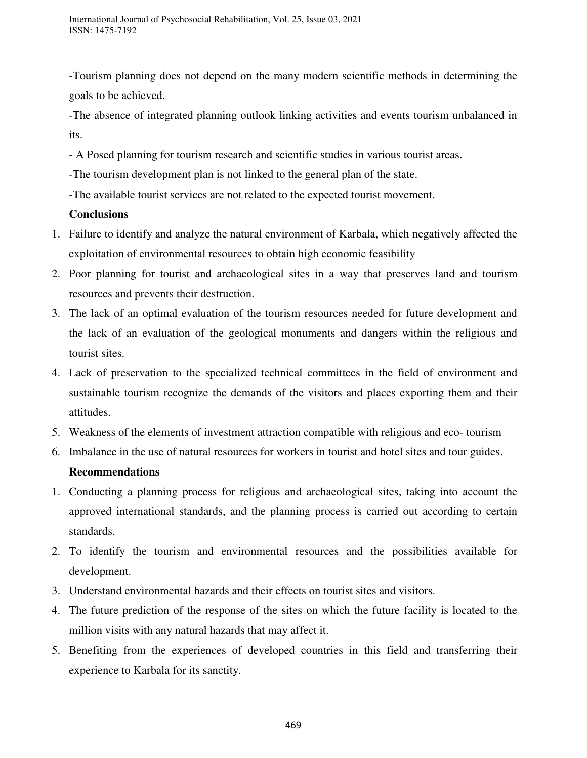-Tourism planning does not depend on the many modern scientific methods in determining the goals to be achieved.

-The absence of integrated planning outlook linking activities and events tourism unbalanced in its.

- A Posed planning for tourism research and scientific studies in various tourist areas.
- -The tourism development plan is not linked to the general plan of the state.
- -The available tourist services are not related to the expected tourist movement.

# **Conclusions**

- 1. Failure to identify and analyze the natural environment of Karbala, which negatively affected the exploitation of environmental resources to obtain high economic feasibility
- 2. Poor planning for tourist and archaeological sites in a way that preserves land and tourism resources and prevents their destruction.
- 3. The lack of an optimal evaluation of the tourism resources needed for future development and the lack of an evaluation of the geological monuments and dangers within the religious and tourist sites.
- 4. Lack of preservation to the specialized technical committees in the field of environment and sustainable tourism recognize the demands of the visitors and places exporting them and their attitudes.
- 5. Weakness of the elements of investment attraction compatible with religious and eco- tourism
- 6. Imbalance in the use of natural resources for workers in tourist and hotel sites and tour guides.

# **Recommendations**

- 1. Conducting a planning process for religious and archaeological sites, taking into account the approved international standards, and the planning process is carried out according to certain standards.
- 2. To identify the tourism and environmental resources and the possibilities available for development.
- 3. Understand environmental hazards and their effects on tourist sites and visitors.
- 4. The future prediction of the response of the sites on which the future facility is located to the million visits with any natural hazards that may affect it.
- 5. Benefiting from the experiences of developed countries in this field and transferring their experience to Karbala for its sanctity.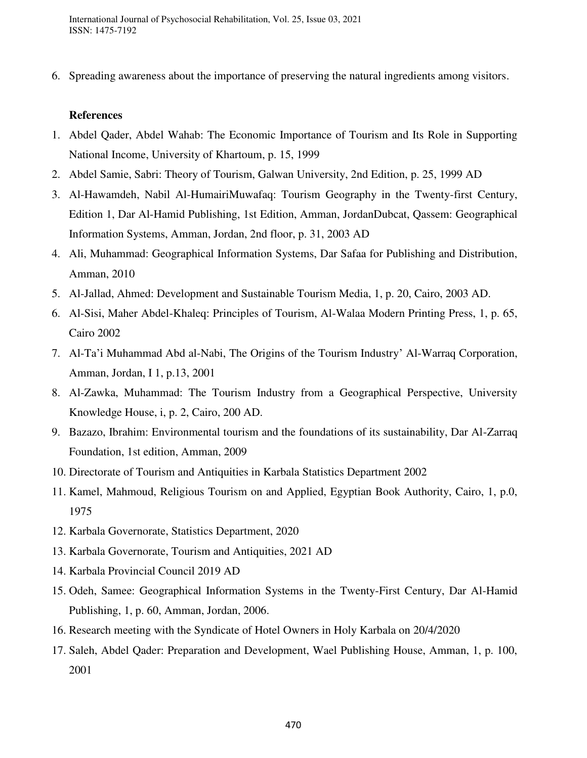International Journal of Psychosocial Rehabilitation, Vol. 25, Issue 03, 2021 ISSN: 1475-7192

6. Spreading awareness about the importance of preserving the natural ingredients among visitors.

#### **References**

- 1. Abdel Qader, Abdel Wahab: The Economic Importance of Tourism and Its Role in Supporting National Income, University of Khartoum, p. 15, 1999
- 2. Abdel Samie, Sabri: Theory of Tourism, Galwan University, 2nd Edition, p. 25, 1999 AD
- 3. Al-Hawamdeh, Nabil Al-HumairiMuwafaq: Tourism Geography in the Twenty-first Century, Edition 1, Dar Al-Hamid Publishing, 1st Edition, Amman, JordanDubcat, Qassem: Geographical Information Systems, Amman, Jordan, 2nd floor, p. 31, 2003 AD
- 4. Ali, Muhammad: Geographical Information Systems, Dar Safaa for Publishing and Distribution, Amman, 2010
- 5. Al-Jallad, Ahmed: Development and Sustainable Tourism Media, 1, p. 20, Cairo, 2003 AD.
- 6. Al-Sisi, Maher Abdel-Khaleq: Principles of Tourism, Al-Walaa Modern Printing Press, 1, p. 65, Cairo 2002
- 7. Al-Ta'i Muhammad Abd al-Nabi, The Origins of the Tourism Industry' Al-Warraq Corporation, Amman, Jordan, I 1, p.13, 2001
- 8. Al-Zawka, Muhammad: The Tourism Industry from a Geographical Perspective, University Knowledge House, i, p. 2, Cairo, 200 AD.
- 9. Bazazo, Ibrahim: Environmental tourism and the foundations of its sustainability, Dar Al-Zarraq Foundation, 1st edition, Amman, 2009
- 10. Directorate of Tourism and Antiquities in Karbala Statistics Department 2002
- 11. Kamel, Mahmoud, Religious Tourism on and Applied, Egyptian Book Authority, Cairo, 1, p.0, 1975
- 12. Karbala Governorate, Statistics Department, 2020
- 13. Karbala Governorate, Tourism and Antiquities, 2021 AD
- 14. Karbala Provincial Council 2019 AD
- 15. Odeh, Samee: Geographical Information Systems in the Twenty-First Century, Dar Al-Hamid Publishing, 1, p. 60, Amman, Jordan, 2006.
- 16. Research meeting with the Syndicate of Hotel Owners in Holy Karbala on 20/4/2020
- 17. Saleh, Abdel Qader: Preparation and Development, Wael Publishing House, Amman, 1, p. 100, 2001